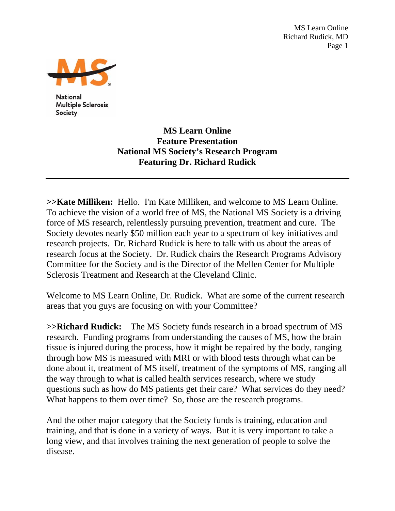MS Learn Online Richard Rudick, MD Page 1



**National Multiple Sclerosis** Society

> **MS Learn Online Feature Presentation National MS Society's Research Program Featuring Dr. Richard Rudick**

**>>Kate Milliken:** Hello. I'm Kate Milliken, and welcome to MS Learn Online. To achieve the vision of a world free of MS, the National MS Society is a driving force of MS research, relentlessly pursuing prevention, treatment and cure. The Society devotes nearly \$50 million each year to a spectrum of key initiatives and research projects. Dr. Richard Rudick is here to talk with us about the areas of research focus at the Society. Dr. Rudick chairs the Research Programs Advisory Committee for the Society and is the Director of the Mellen Center for Multiple Sclerosis Treatment and Research at the Cleveland Clinic.

Welcome to MS Learn Online, Dr. Rudick. What are some of the current research areas that you guys are focusing on with your Committee?

**>>Richard Rudick:** The MS Society funds research in a broad spectrum of MS research. Funding programs from understanding the causes of MS, how the brain tissue is injured during the process, how it might be repaired by the body, ranging through how MS is measured with MRI or with blood tests through what can be done about it, treatment of MS itself, treatment of the symptoms of MS, ranging all the way through to what is called health services research, where we study questions such as how do MS patients get their care? What services do they need? What happens to them over time? So, those are the research programs.

And the other major category that the Society funds is training, education and training, and that is done in a variety of ways. But it is very important to take a long view, and that involves training the next generation of people to solve the disease.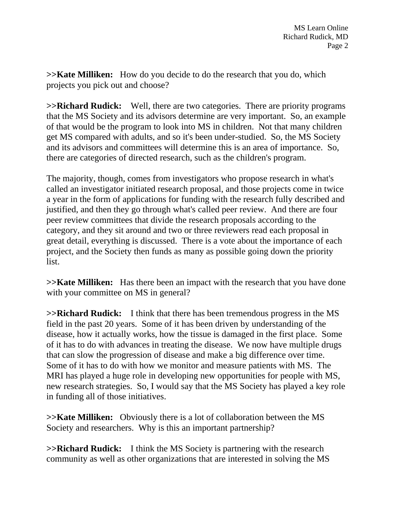**>>Kate Milliken:** How do you decide to do the research that you do, which projects you pick out and choose?

**>>Richard Rudick:** Well, there are two categories. There are priority programs that the MS Society and its advisors determine are very important. So, an example of that would be the program to look into MS in children. Not that many children get MS compared with adults, and so it's been under-studied. So, the MS Society and its advisors and committees will determine this is an area of importance. So, there are categories of directed research, such as the children's program.

The majority, though, comes from investigators who propose research in what's called an investigator initiated research proposal, and those projects come in twice a year in the form of applications for funding with the research fully described and justified, and then they go through what's called peer review. And there are four peer review committees that divide the research proposals according to the category, and they sit around and two or three reviewers read each proposal in great detail, everything is discussed. There is a vote about the importance of each project, and the Society then funds as many as possible going down the priority list.

**>>Kate Milliken:** Has there been an impact with the research that you have done with your committee on MS in general?

**>>Richard Rudick:** I think that there has been tremendous progress in the MS field in the past 20 years. Some of it has been driven by understanding of the disease, how it actually works, how the tissue is damaged in the first place. Some of it has to do with advances in treating the disease. We now have multiple drugs that can slow the progression of disease and make a big difference over time. Some of it has to do with how we monitor and measure patients with MS. The MRI has played a huge role in developing new opportunities for people with MS, new research strategies. So, I would say that the MS Society has played a key role in funding all of those initiatives.

**>>Kate Milliken:** Obviously there is a lot of collaboration between the MS Society and researchers. Why is this an important partnership?

**>>Richard Rudick:** I think the MS Society is partnering with the research community as well as other organizations that are interested in solving the MS